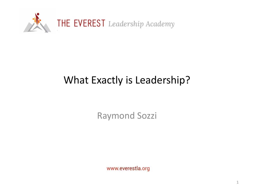

## What Exactly is Leadership?

Raymond Sozzi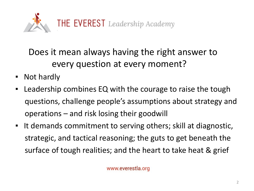

Does it mean always having the right answer to every question at every moment?

- Not hardly
- Leadership combines EQ with the courage to raise the tough questions, challenge people's assumptions about strategy and operations – and risk losing their goodwill
- It demands commitment to serving others; skill at diagnostic, strategic, and tactical reasoning; the guts to get beneath the surface of tough realities; and the heart to take heat & grief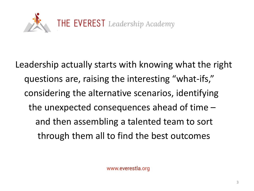

Leadership actually starts with knowing what the right questions are, raising the interesting "what-ifs," considering the alternative scenarios, identifying the unexpected consequences ahead of time – and then assembling a talented team to sort through them all to find the best outcomes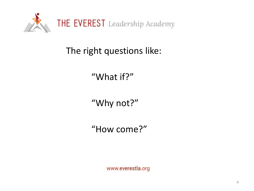

The right questions like:

"What if?"

"Why not?"

"How come?"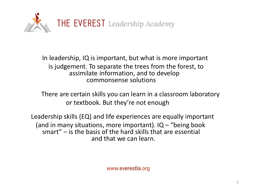

In leadership, IQ is important, but what is more important is judgement. To separate the trees from the forest, to assimilate information, and to develop commonsense solutions

There are certain skills you can learn in a classroom laboratory or textbook. But they're not enough

Leadership skills (EQ) and life experiences are equally important (and in many situations, more important).  $IQ - "being book$ smart" – is the basis of the hard skills that are essential and that we can learn.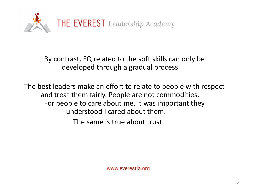

By contrast, EQ related to the soft skills can only be developed through a gradual process

The best leaders make an effort to relate to people with respect and treat them fairly. People are not commodities. For people to care about me, it was important they understood I cared about them.

The same is true about trust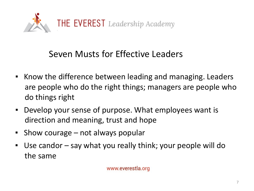

## Seven Musts for Effective Leaders

- Know the difference between leading and managing. Leaders are people who do the right things; managers are people who do things right
- Develop your sense of purpose. What employees want is direction and meaning, trust and hope
- Show courage not always popular
- Use candor say what you really think; your people will do the same